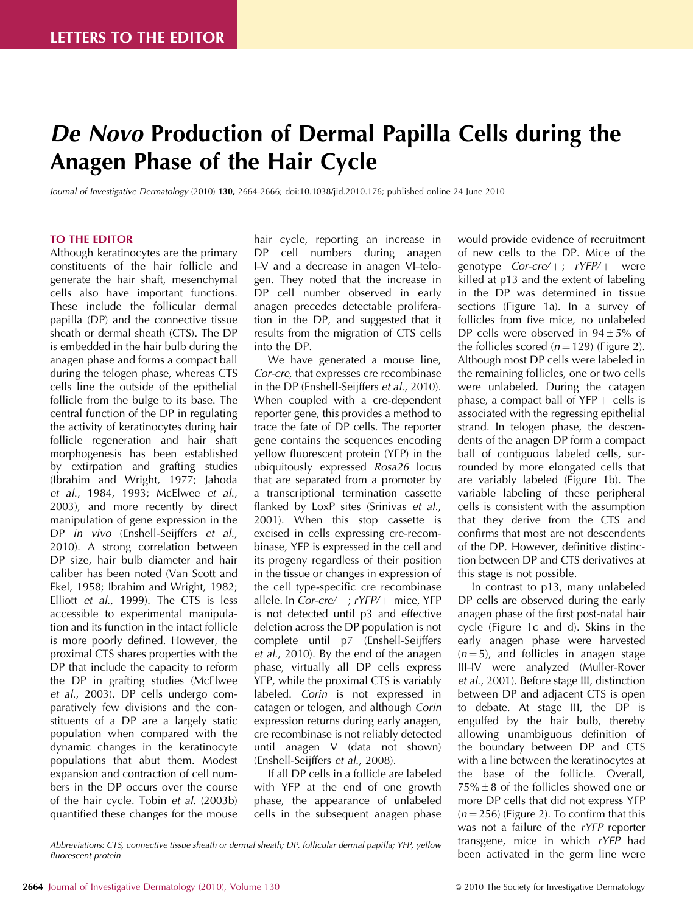# De Novo Production of Dermal Papilla Cells during the Anagen Phase of the Hair Cycle

Journal of Investigative Dermatology (2010) 130, 2664–2666; doi:[10.1038/jid.2010.176](http://dx.doi.org/10.1038/jid.2010.176); published online 24 June 2010

## TO THE EDITOR

Although keratinocytes are the primary constituents of the hair follicle and generate the hair shaft, mesenchymal cells also have important functions. These include the follicular dermal papilla (DP) and the connective tissue sheath or dermal sheath (CTS). The DP is embedded in the hair bulb during the anagen phase and forms a compact ball during the telogen phase, whereas CTS cells line the outside of the epithelial follicle from the bulge to its base. The central function of the DP in regulating the activity of keratinocytes during hair follicle regeneration and hair shaft morphogenesis has been established by extirpation and grafting studies (Ibrahim and Wright, 1977; Jahoda et al., 1984, 1993; McElwee et al., 2003), and more recently by direct manipulation of gene expression in the DP in vivo (Enshell-Seijffers et al., 2010). A strong correlation between DP size, hair bulb diameter and hair caliber has been noted (Van Scott and Ekel, 1958; Ibrahim and Wright, 1982; Elliott et al., 1999). The CTS is less accessible to experimental manipulation and its function in the intact follicle is more poorly defined. However, the proximal CTS shares properties with the DP that include the capacity to reform the DP in grafting studies (McElwee et al., 2003). DP cells undergo comparatively few divisions and the constituents of a DP are a largely static population when compared with the dynamic changes in the keratinocyte populations that abut them. Modest expansion and contraction of cell numbers in the DP occurs over the course of the hair cycle. Tobin et al. (2003b) quantified these changes for the mouse

hair cycle, reporting an increase in DP cell numbers during anagen I–V and a decrease in anagen VI–telogen. They noted that the increase in DP cell number observed in early anagen precedes detectable proliferation in the DP, and suggested that it results from the migration of CTS cells into the DP.

We have generated a mouse line, Cor-cre, that expresses cre recombinase in the DP (Enshell-Seijffers et al., 2010). When coupled with a cre-dependent reporter gene, this provides a method to trace the fate of DP cells. The reporter gene contains the sequences encoding yellow fluorescent protein (YFP) in the ubiquitously expressed Rosa26 locus that are separated from a promoter by a transcriptional termination cassette flanked by LoxP sites (Srinivas et al., 2001). When this stop cassette is excised in cells expressing cre-recombinase, YFP is expressed in the cell and its progeny regardless of their position in the tissue or changes in expression of the cell type-specific cre recombinase allele. In Cor-cre/ $+$ ; rYFP/ $+$  mice, YFP is not detected until p3 and effective deletion across the DP population is not complete until p7 (Enshell-Seijffers et al., 2010). By the end of the anagen phase, virtually all DP cells express YFP, while the proximal CTS is variably labeled. Corin is not expressed in catagen or telogen, and although Corin expression returns during early anagen, cre recombinase is not reliably detected until anagen V (data not shown) (Enshell-Seijffers et al., 2008).

If all DP cells in a follicle are labeled with YFP at the end of one growth phase, the appearance of unlabeled cells in the subsequent anagen phase would provide evidence of recruitment of new cells to the DP. Mice of the genotype  $Cor-cre/+$ ;  $rYFP/+$  were killed at p13 and the extent of labeling in the DP was determined in tissue sections (Figure 1a). In a survey of follicles from five mice, no unlabeled DP cells were observed in 94±5% of the follicles scored  $(n = 129)$  (Figure 2). Although most DP cells were labeled in the remaining follicles, one or two cells were unlabeled. During the catagen phase, a compact ball of  $YFP +$  cells is associated with the regressing epithelial strand. In telogen phase, the descendents of the anagen DP form a compact ball of contiguous labeled cells, surrounded by more elongated cells that are variably labeled (Figure 1b). The variable labeling of these peripheral cells is consistent with the assumption that they derive from the CTS and confirms that most are not descendents of the DP. However, definitive distinction between DP and CTS derivatives at this stage is not possible.

In contrast to p13, many unlabeled DP cells are observed during the early anagen phase of the first post-natal hair cycle (Figure 1c and d). Skins in the early anagen phase were harvested  $(n = 5)$ , and follicles in anagen stage III–IV were analyzed (Muller-Rover et al., 2001). Before stage III, distinction between DP and adjacent CTS is open to debate. At stage III, the DP is engulfed by the hair bulb, thereby allowing unambiguous definition of the boundary between DP and CTS with a line between the keratinocytes at the base of the follicle. Overall,  $75\% \pm 8$  of the follicles showed one or more DP cells that did not express YFP  $(n = 256)$  (Figure 2). To confirm that this was not a failure of the rYFP reporter transgene, mice in which rYFP had been activated in the germ line were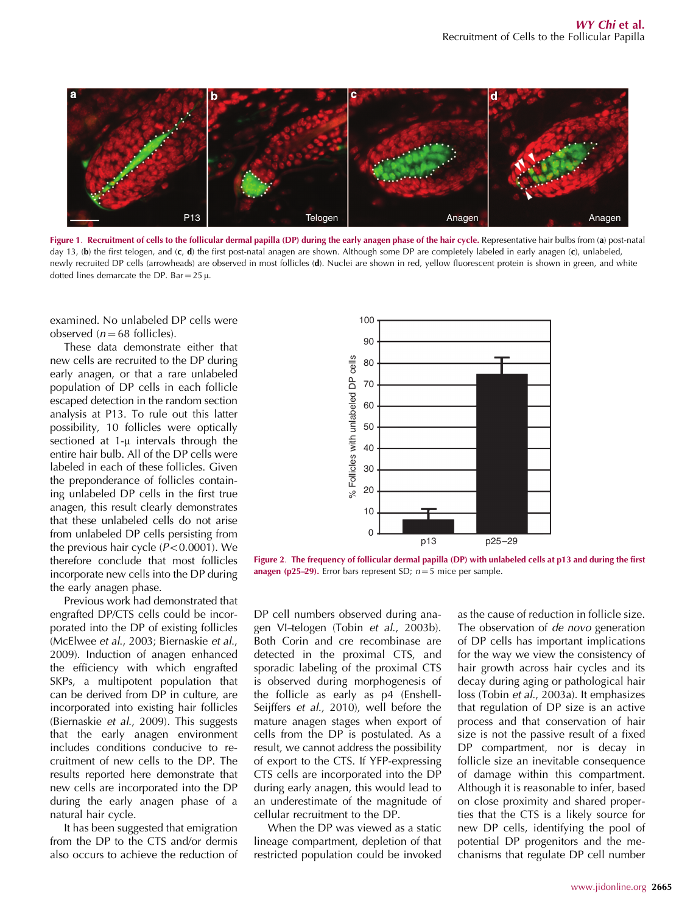

Figure 1. Recruitment of cells to the follicular dermal papilla (DP) during the early anagen phase of the hair cycle. Representative hair bulbs from (a) post-natal day 13, (b) the first telogen, and (c, d) the first post-natal anagen are shown. Although some DP are completely labeled in early anagen (c), unlabeled, newly recruited DP cells (arrowheads) are observed in most follicles (d). Nuclei are shown in red, yellow fluorescent protein is shown in green, and white dotted lines demarcate the DP. Bar =  $25 \mu$ .

examined. No unlabeled DP cells were observed  $(n = 68 \text{ follicles})$ .

These data demonstrate either that new cells are recruited to the DP during early anagen, or that a rare unlabeled population of DP cells in each follicle escaped detection in the random section analysis at P13. To rule out this latter possibility, 10 follicles were optically sectioned at  $1-\mu$  intervals through the entire hair bulb. All of the DP cells were labeled in each of these follicles. Given the preponderance of follicles containing unlabeled DP cells in the first true anagen, this result clearly demonstrates that these unlabeled cells do not arise from unlabeled DP cells persisting from the previous hair cycle  $(P<0.0001)$ . We therefore conclude that most follicles incorporate new cells into the DP during the early anagen phase.

Previous work had demonstrated that engrafted DP/CTS cells could be incorporated into the DP of existing follicles (McElwee et al., 2003; Biernaskie et al., 2009). Induction of anagen enhanced the efficiency with which engrafted SKPs, a multipotent population that can be derived from DP in culture, are incorporated into existing hair follicles (Biernaskie et al., 2009). This suggests that the early anagen environment includes conditions conducive to recruitment of new cells to the DP. The results reported here demonstrate that new cells are incorporated into the DP during the early anagen phase of a natural hair cycle.

It has been suggested that emigration from the DP to the CTS and/or dermis also occurs to achieve the reduction of



Figure 2. The frequency of follicular dermal papilla (DP) with unlabeled cells at p13 and during the first anagen (p25–29). Error bars represent SD;  $n = 5$  mice per sample.

DP cell numbers observed during anagen VI-telogen (Tobin et al., 2003b). Both Corin and cre recombinase are detected in the proximal CTS, and sporadic labeling of the proximal CTS is observed during morphogenesis of the follicle as early as p4 (Enshell-Seijffers et al., 2010), well before the mature anagen stages when export of cells from the DP is postulated. As a result, we cannot address the possibility of export to the CTS. If YFP-expressing CTS cells are incorporated into the DP during early anagen, this would lead to an underestimate of the magnitude of cellular recruitment to the DP.

When the DP was viewed as a static lineage compartment, depletion of that restricted population could be invoked

as the cause of reduction in follicle size. The observation of de novo generation of DP cells has important implications for the way we view the consistency of hair growth across hair cycles and its decay during aging or pathological hair loss (Tobin et al., 2003a). It emphasizes that regulation of DP size is an active process and that conservation of hair size is not the passive result of a fixed DP compartment, nor is decay in follicle size an inevitable consequence of damage within this compartment. Although it is reasonable to infer, based on close proximity and shared properties that the CTS is a likely source for new DP cells, identifying the pool of potential DP progenitors and the mechanisms that regulate DP cell number